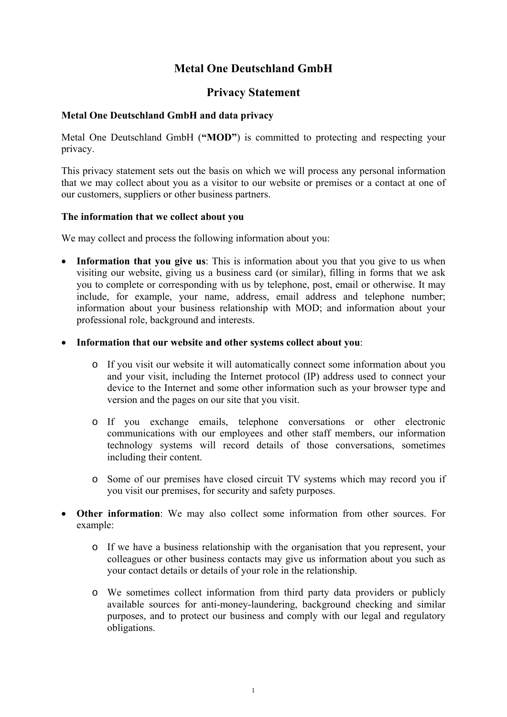# **Metal One Deutschland GmbH**

## **Privacy Statement**

### **Metal One Deutschland GmbH and data privacy**

Metal One Deutschland GmbH (**"MOD"**) is committed to protecting and respecting your privacy.

This privacy statement sets out the basis on which we will process any personal information that we may collect about you as a visitor to our website or premises or a contact at one of our customers, suppliers or other business partners.

#### **The information that we collect about you**

We may collect and process the following information about you:

- **Information that you give us**: This is information about you that you give to us when visiting our website, giving us a business card (or similar), filling in forms that we ask you to complete or corresponding with us by telephone, post, email or otherwise. It may include, for example, your name, address, email address and telephone number; information about your business relationship with MOD; and information about your professional role, background and interests.
- **Information that our website and other systems collect about you**:
	- o If you visit our website it will automatically connect some information about you and your visit, including the Internet protocol (IP) address used to connect your device to the Internet and some other information such as your browser type and version and the pages on our site that you visit.
	- o If you exchange emails, telephone conversations or other electronic communications with our employees and other staff members, our information technology systems will record details of those conversations, sometimes including their content.
	- o Some of our premises have closed circuit TV systems which may record you if you visit our premises, for security and safety purposes.
- **Other information**: We may also collect some information from other sources. For example:
	- o If we have a business relationship with the organisation that you represent, your colleagues or other business contacts may give us information about you such as your contact details or details of your role in the relationship.
	- o We sometimes collect information from third party data providers or publicly available sources for anti-money-laundering, background checking and similar purposes, and to protect our business and comply with our legal and regulatory obligations.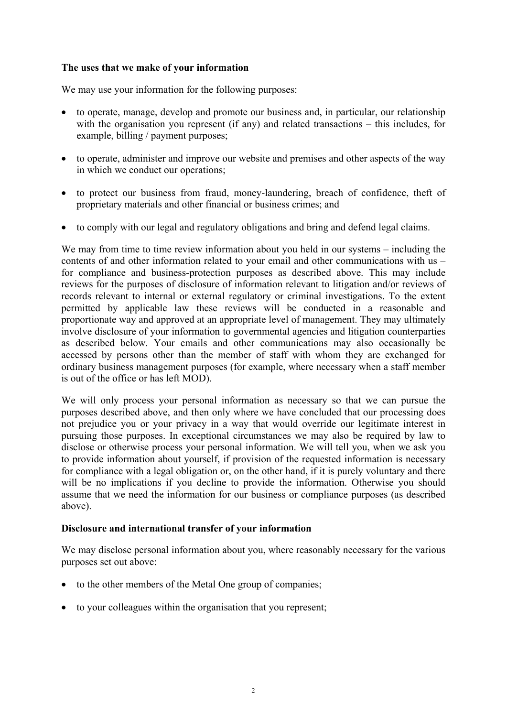### **The uses that we make of your information**

We may use your information for the following purposes:

- to operate, manage, develop and promote our business and, in particular, our relationship with the organisation you represent (if any) and related transactions – this includes, for example, billing / payment purposes;
- to operate, administer and improve our website and premises and other aspects of the way in which we conduct our operations;
- to protect our business from fraud, money-laundering, breach of confidence, theft of proprietary materials and other financial or business crimes; and
- to comply with our legal and regulatory obligations and bring and defend legal claims.

We may from time to time review information about you held in our systems – including the contents of and other information related to your email and other communications with us – for compliance and business-protection purposes as described above. This may include reviews for the purposes of disclosure of information relevant to litigation and/or reviews of records relevant to internal or external regulatory or criminal investigations. To the extent permitted by applicable law these reviews will be conducted in a reasonable and proportionate way and approved at an appropriate level of management. They may ultimately involve disclosure of your information to governmental agencies and litigation counterparties as described below. Your emails and other communications may also occasionally be accessed by persons other than the member of staff with whom they are exchanged for ordinary business management purposes (for example, where necessary when a staff member is out of the office or has left MOD).

We will only process your personal information as necessary so that we can pursue the purposes described above, and then only where we have concluded that our processing does not prejudice you or your privacy in a way that would override our legitimate interest in pursuing those purposes. In exceptional circumstances we may also be required by law to disclose or otherwise process your personal information. We will tell you, when we ask you to provide information about yourself, if provision of the requested information is necessary for compliance with a legal obligation or, on the other hand, if it is purely voluntary and there will be no implications if you decline to provide the information. Otherwise you should assume that we need the information for our business or compliance purposes (as described above).

## **Disclosure and international transfer of your information**

We may disclose personal information about you, where reasonably necessary for the various purposes set out above:

- to the other members of the Metal One group of companies;
- to your colleagues within the organisation that you represent;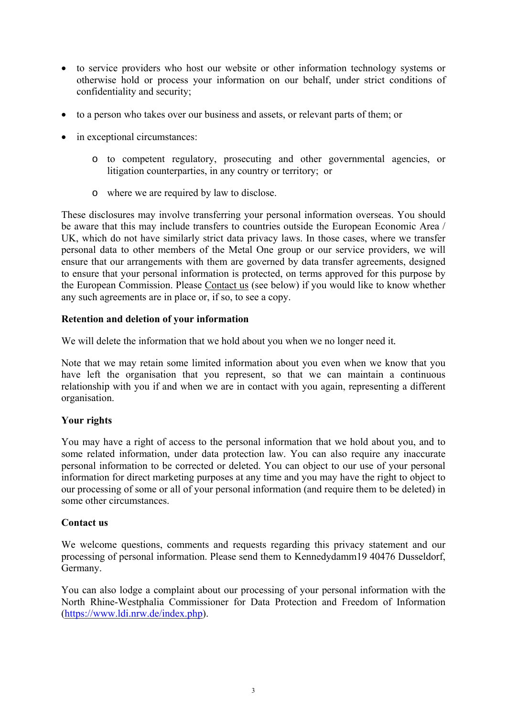- to service providers who host our website or other information technology systems or otherwise hold or process your information on our behalf, under strict conditions of confidentiality and security;
- to a person who takes over our business and assets, or relevant parts of them; or
- in exceptional circumstances:
	- o to competent regulatory, prosecuting and other governmental agencies, or litigation counterparties, in any country or territory; or
	- o where we are required by law to disclose.

These disclosures may involve transferring your personal information overseas. You should be aware that this may include transfers to countries outside the European Economic Area / UK, which do not have similarly strict data privacy laws. In those cases, where we transfer personal data to other members of the Metal One group or our service providers, we will ensure that our arrangements with them are governed by data transfer agreements, designed to ensure that your personal information is protected, on terms approved for this purpose by the European Commission. Please Contact us (see below) if you would like to know whether any such agreements are in place or, if so, to see a copy.

#### **Retention and deletion of your information**

We will delete the information that we hold about you when we no longer need it*.* 

Note that we may retain some limited information about you even when we know that you have left the organisation that you represent, so that we can maintain a continuous relationship with you if and when we are in contact with you again, representing a different organisation.

## **Your rights**

You may have a right of access to the personal information that we hold about you, and to some related information, under data protection law. You can also require any inaccurate personal information to be corrected or deleted. You can object to our use of your personal information for direct marketing purposes at any time and you may have the right to object to our processing of some or all of your personal information (and require them to be deleted) in some other circumstances.

#### **Contact us**

We welcome questions, comments and requests regarding this privacy statement and our processing of personal information. Please send them to Kennedydamm19 40476 Dusseldorf, Germany.

You can also lodge a complaint about our processing of your personal information with the North Rhine-Westphalia Commissioner for Data Protection and Freedom of Information (https://www.ldi.nrw.de/index.php).